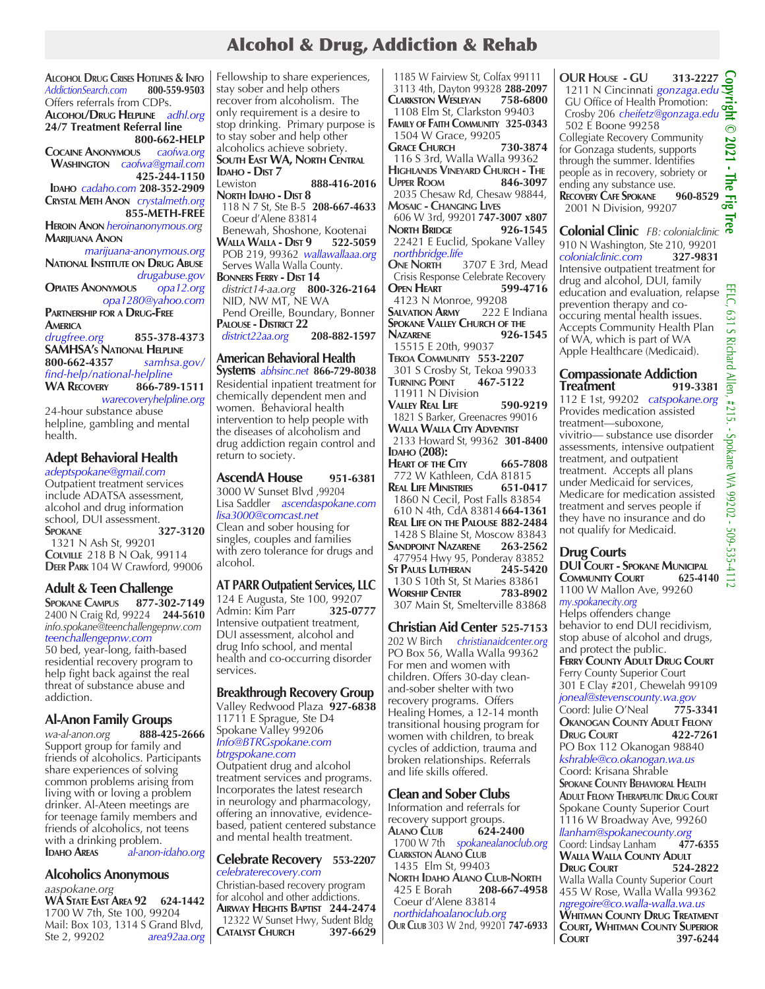# Alcohol & Drug, Addiction & Rehab

**Alcohol Drug Crises Hotlines & Info** *AddictionSearch.com* **800-559-9503** Offers referrals from CDPs. **Alcohol/Drug Helpline** *adhl.org*

**24/7 Treatment Referral line 800-662-HELP**<br>Js caofwa.org **COCAINE ANONYMOUS** 

 **Washington** *caofwa@gmail.com*  **425-244-1150 Idaho** *cadaho.com* **208-352-2909 Crystal Meth Anon** *crystalmeth.org*

 **855-METH-FREE Heroin Anon** *heroinanonymous.org* **Marijuana Anon** 

*marijuana-anonymous.org* **National Institute on Drug Abuse**  *drugabuse.gov*  **Opiates Anonymous** *opa12.org opa1280@yahoo.com* **Partnership for a Drug-Free America** *drugfree.org* **855-378-4373 SAMHSA's National Helpline 800-662-4357** *samhsa.gov/ find-help/national-helpline*

**WA Recovery 866-789-1511** *warecoveryhelpline.org*  24-hour substance abuse

helpline, gambling and mental health.

## **Adept Behavioral Health**

*adeptspokane@gmail.com* Outpatient treatment services include ADATSA assessment, alcohol and drug information school, DUI assessment.<br>**SPOKANE** 3 **Spokane 327-3120** 1321 N Ash St, 99201 **Colville** 218 B N Oak, 99114 **Deer Park** 104 W Crawford, 99006

## **Adult & Teen Challenge**

**Spokane Campus 877-302-7149** 2400 N Craig Rd, 99224 **244-5610** *info.spokane@teenchallengepnw.com teenchallengepnw.com*

50 bed, year-long, faith-based residential recovery program to help fight back against the real threat of substance abuse and addiction.

## **Al-Anon Family Groups**

*wa-al-anon.org* **888-425-2666** Support group for family and friends of alcoholics. Participants share experiences of solving common problems arising from living with or loving a problem drinker. Al-Ateen meetings are for teenage family members and friends of alcoholics, not teens with a drinking problem.<br>**IDAHO AREAS** al-anon-**Idaho Areas** *al-anon-idaho.org* 

**Alcoholics Anonymous**

*aaspokane.org* **WA State East Area 92 624-1442** 1700 W 7th, Ste 100, 99204 Mail: Box 103, 1314 S Grand Blvd,<br>Ste 2, 99202 area92aa.org area92aa.org Fellowship to share experiences, stay sober and help others recover from alcoholism. The only requirement is a desire to stop drinking. Primary purpose is to stay sober and help other alcoholics achieve sobriety. **South East WA, North Central IDAHO - DIST 7**<br>Lewiston Lewiston **888-416-2016**

**North Idaho - Dist 8** 118 N 7 St, Ste B-5 **208-667-4633** Coeur d'Alene 83814

 Benewah, Shoshone, Kootenai **Walla Walla - Dist 9 522-5059** POB 219, 99362 *wallawallaaa.org* Serves Walla Walla County. **Bonners Ferry - Dist 14**  *district14-aa.org* **800-326-2164**

 NID, NW MT, NE WA Pend Oreille, Boundary, Bonner **PALOUSE - DISTRICT 22**<br>district22aa.org 208-882-1597  $district22aa.org$ 

# **American Behavioral Health**

**Systems** *abhsinc.net* **866-729-8038** Residential inpatient treatment for chemically dependent men and women. Behavioral health intervention to help people with the diseases of alcoholism and drug addiction regain control and return to society.

**AscendA House 951-6381** 3000 W Sunset Blvd ,99204 Lisa Saddler *ascendaspokane.com lisa3000@comcast.net* Clean and sober housing for singles, couples and families with zero tolerance for drugs and alcohol.

## **AT PARR Outpatient Services, LLC**

124 E Augusta, Ste 100, 99207<br>Admin: Kim Parr 325-0777 Admin: Kim Parr Intensive outpatient treatment, DUI assessment, alcohol and drug Info school, and mental health and co-occurring disorder services.

## **Breakthrough Recovery Group**

Valley Redwood Plaza **927-6838** 11711 E Sprague, Ste D4 Spokane Valley 99206 *Info@BTRGspokane.com btrgspokane.com* 

Outpatient drug and alcohol treatment services and programs. Incorporates the latest research in neurology and pharmacology, offering an innovative, evidencebased, patient centered substance and mental health treatment.

#### **Celebrate Recovery 553-2207** *celebraterecovery.com*

Christian-based recovery program for alcohol and other addictions. **Airway Heights Baptist 244-2474** 12322 W Sunset Hwy, Sudent Bldg<br> **CATALYST CHURCH** 397-6629 **Catalyst Church 397-6629**

 1185 W Fairview St, Colfax 99111 3113 4th, Dayton 99328 **288-2097 Clarkston Wesleyan 758-6800** 1108 Elm St, Clarkston 99403 **Family of Faith Community 325-0343** 1504 W Grace, 99205<br>**GRACE CHURCH** 730-3874 **Grace Church 730-3874** 116 S 3rd, Walla Walla 99362 **Highlands Vineyard Church - The Upper Room 846-3097** 2035 Chesaw Rd, Chesaw 98844, **Mosaic - Changing Lives** 606 W 3rd, 99201 **747-3007 x807 NORTH BRIDGE** 926-1545 22421 E Euclid, Spokane Valley  *northbridge.life* **One North** 3707 E 3rd, Mead Crisis Response Celebrate Recovery<br>**OPEN HEART** 599-4716 **OPEN HEART** 4123 N Monroe, 99208<br>**MALVATION ARMY** 222 E Indiana **SALVATION ARMY Spokane Valley Church of the Nazarene 926-1545** 15515 E 20th, 99037 **Tekoa Community 553-2207 301 S Crosby St, Tekoa 99033**<br>**FURNING POINT** 467-5122 **Turning Point 467-5122** 11911 N Division **Valley Real Life 590-9219** 1821 S Barker, Greenacres 99016 **Walla Walla City Adventist** 2133 Howard St, 99362 **301-8400 IDAHO** (208): **Heart of the City 665-7808** 772 W Kathleen, CdA 81815<br>Real Life Ministries 651-0417 **REAL LIFE MINISTRIES**  1860 N Cecil, Post Falls 83854 610 N 4th, CdA 83814**664-1361 Real Life on the Palouse 882-2484** 1428 S Blaine St, Moscow 83843 **Sandpoint Nazarene 263-2562** 477954 Hwy 95, Ponderay 83852<br> **ST PAULS LUTHERAN** 245-5420 **ST PAULS LUTHERAN**  130 S 10th St, St Maries 83861 **Worship Center 783-8902** 307 Main St, Smelterville 83868

## **Christian Aid Center 525-7153**

202 W Birch *christianaidcenter.org* PO Box 56, Walla Walla 99362 For men and women with children. Offers 30-day cleanand-sober shelter with two recovery programs. Offers Healing Homes, a 12-14 month transitional housing program for women with children, to break cycles of addiction, trauma and broken relationships. Referrals and life skills offered.

## **Clean and Sober Clubs**

Information and referrals for recovery support groups.<br>ALANO CLUB 624-2400 **Alano Club 624-2400** 1700 W 7th *spokanealanoclub.org* **Clarkston Alano Club** 1435 Elm St, 99403 **North Idaho Alano Club-North**<br>425 E Borah **208-667-495**  425 E Borah **208-667-4958**  Coeur d'Alene 83814  *northidahoalanoclub.org* **Our Club** 303 W 2nd, 99201 **747-6933** **OUR House - GU 313-2227** 1211 N Cincinnati *gonzaga.edu* GU Office of Health Promotion: Crosby 206 *cheifetz@gonzaga.edu* 502 E Boone 99258

Collegiate Recovery Community for Gonzaga students, supports through the summer. Identifies people as in recovery, sobriety or ending any substance use.<br>**RECOVERY CAFE SPOKANE** 960-8529

**RECOVERY CAFE SPOKANE** 2001 N Division, 99207

**Colonial Clinic** *FB: colonialclinic*  910 N Washington, Ste 210, 99201 *colonialclinic.com* **327-9831** Intensive outpatient treatment for drug and alcohol, DUI, family education and evaluation, relapse  $\frac{m}{C}$ prevention therapy and cooccuring mental health issues. Accepts Community Health Plan of WA, which is part of WA Apple Healthcare (Medicaid).

#### **Compassionate Addiction Treatment 919-3381**

112 E 1st, 99202 *catspokane.org* Provides medication assisted treatment—suboxone, vivitrio— substance use disorder assessments, intensive outpatient treatment, and outpatient treatment. Accepts all plans under Medicaid for services, Medicare for medication assisted treatment and serves people if they have no insurance and do not qualify for Medicaid.

**Drug Courts DUI Court - Spokane Municipal COMMUNITY COURT** 1100 W Mallon Ave, 99260 *my.spokanecity.org* Helps offenders change behavior to end DUI recidivism, stop abuse of alcohol and drugs, and protect the public. **Ferry County Adult Drug Court** Ferry County Superior Court 301 E Clay #201, Chewelah 99109 *joneal@stevenscounty.wa.gov*  Coord: Julie O'Neal **775-3341 Okanogan County Adult Felony Drug Court 422-7261** PO Box 112 Okanogan 98840 *kshrable@co.okanogan.wa.us*  Coord: Krisana Shrable **Spokane County Behavioral Health Adult Felony Therapeutic Drug Court** Spokane County Superior Court 1116 W Broadway Ave, 99260 *llanham@spokanecounty.org*  Coord: Lindsay Lanham **477-6355 Walla Walla County Adult Drug Court 524-2822** Walla Walla County Superior Court 455 W Rose, Walla Walla 99362 *ngregoire@co.walla-walla.wa.us*  **Whitman County Drug Treatment Court, Whitman County Superior Court 397-6244**

 $\odot$  $1021 -$ 

The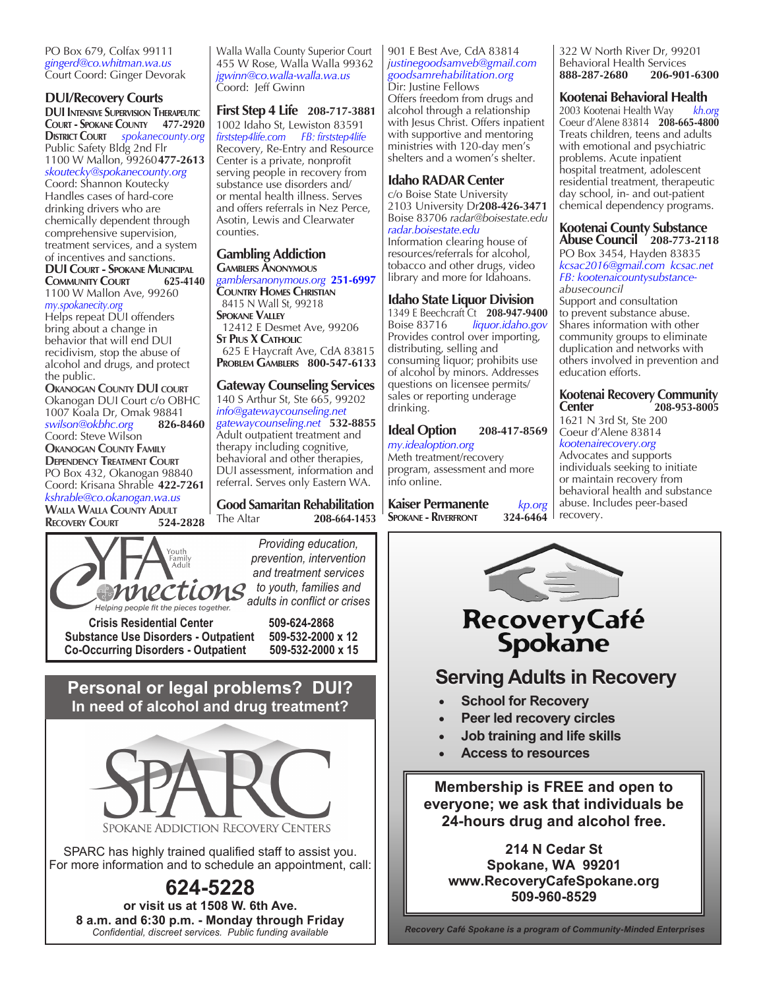PO Box 679, Colfax 99111 *gingerd@co.whitman.wa.us*  Court Coord: Ginger Devorak

## **DUI/Recovery Courts**

**DUI Intensive Supervision Therapeutic Court - Spokane County 477-2920 District Court** *spokanecounty.org* Public Safety Bldg 2nd Flr 1100 W Mallon, 99260**477-2613**  *skoutecky@spokanecounty.org* 

Coord: Shannon Koutecky Handles cases of hard-core drinking drivers who are chemically dependent through comprehensive supervision, treatment services, and a system of incentives and sanctions. **DUI Court - Spokane Municipal COMMUNITY COURT** 

1100 W Mallon Ave, 99260 *my.spokanecity.org* Helps repeat DUI offenders bring about a change in behavior that will end DUI recidivism, stop the abuse of alcohol and drugs, and protect

the public. **Okanogan County DUI court** Okanogan DUI Court c/o OBHC 1007 Koala Dr, Omak 98841<br>swilson@okbhc.org **826-8460**  $swilson@okbhc.org$ Coord: Steve Wilson **Okanogan County Family Dependency Treatment Court** PO Box 432, Okanogan 98840 Coord: Krisana Shrable **422-7261** *kshrable@co.okanogan.wa.us*  **WALLA WALLA COUNTY ADULT<br>RECOVERY COURT 524-2828** 

**RECOVERY COURT** 





**Crisis Residential Center 509-624-2868 Substance Use Disorders - Outpatient 509-532-2000 x 12 Co-Occurring Disorders - Outpatient** 

**Personal or legal problems? DUI? In need of alcohol and drug treatment?**



SPARC has highly trained qualified staff to assist you. For more information and to schedule an appointment, call:

**624-5228 or visit us at 1508 W. 6th Ave. 8 a.m. and 6:30 p.m. - Monday through Friday** *Confidential, discreet services. Public funding available* 

Walla Walla County Superior Court 455 W Rose, Walla Walla 99362 *jgwinn@co.walla-walla.wa.us*  Coord: Jeff Gwinn

**First Step 4 Life 208-717-3881** 1002 Idaho St, Lewiston 83591 *firststep4life.com FB: firststep4life* Recovery, Re-Entry and Resource Center is a private, nonprofit serving people in recovery from substance use disorders and/ or mental health illness. Serves and offers referrals in Nez Perce, Asotin, Lewis and Clearwater counties.

### **Gambling Addiction Gamblers Anonymous**

*gamblersanonymous.org* **251-6997 Country Homes Christian** 8415 N Wall St, 99218 **Spokane Valley** 12412 E Desmet Ave, 99206 **St Pius X Catholic** 625 E Haycraft Ave, CdA 83815 **Problem Gamblers 800-547-6133**

### **Gateway Counseling Services**

140 S Arthur St, Ste 665, 99202 *info@gatewaycounseling.net gatewaycounseling.net* **532-8855** Adult outpatient treatment and therapy including cognitive, behavioral and other therapies, DUI assessment, information and referral. Serves only Eastern WA.

**Good Samaritan Rehabilitation**<br>The Altar 208-664-1453 The Altar **208-664-1453** 901 E Best Ave, CdA 83814 *justinegoodsamveb@gmail.com goodsamrehabilitation.org* Dir: Justine Fellows Offers freedom from drugs and alcohol through a relationship with Jesus Christ. Offers inpatient

with supportive and mentoring ministries with 120-day men's

# shelters and a women's shelter. **Idaho RADAR Center**

c/o Boise State University 2103 University Dr**208-426-3471** Boise 83706 *radar@boisestate.edu radar.boisestate.edu* Information clearing house of resources/referrals for alcohol, tobacco and other drugs, video library and more for Idahoans.

## **Idaho State Liquor Division**

1349 E Beechcraft Ct **208-947-9400** Boise 83716 *liquor.idaho.gov* Provides control over importing, distributing, selling and consuming liquor; prohibits use of alcohol by minors. Addresses questions on licensee permits/ sales or reporting underage drinking.

# **Ideal Option 208-417-8569**

*my.idealoption.org* Meth treatment/recovery program, assessment and more info online.

**Kaiser Permanente** *kp.org* **SPOKANE - RIVERFRONT** 



## **Kootenai Behavioral Health**

2003 Kootenai Health Way *kh.org* Coeur d'Alene 83814 **208-665-4800** Treats children, teens and adults with emotional and psychiatric problems. Acute inpatient hospital treatment, adolescent residential treatment, therapeutic day school, in- and out-patient chemical dependency programs.

#### **Kootenai County Substance Abuse Council 208-773-2118** PO Box 3454, Hayden 83835 *kcsac2016@gmail.com kcsac.net FB: kootenaicountysubstanceabusecouncil* Support and consultation to prevent substance abuse. Shares information with other community groups to eliminate duplication and networks with others involved in prevention and education efforts.

#### **Kootenai Recovery Community Center 208-953-8005**

1621 N 3rd St, Ste 200 Coeur d'Alene 83814 *kootenairecovery.org*

Advocates and supports individuals seeking to initiate or maintain recovery from behavioral health and substance abuse. Includes peer-based



recovery.

- **School for Recovery**
- **Peer led recovery circles**
- **Job training and life skills**
- **Access to resources**

**Membership is FREE and open to everyone; we ask that individuals be 24-hours drug and alcohol free.** 

**214 N Cedar St Spokane, WA 99201 www.RecoveryCafeSpokane.org 509-960-8529**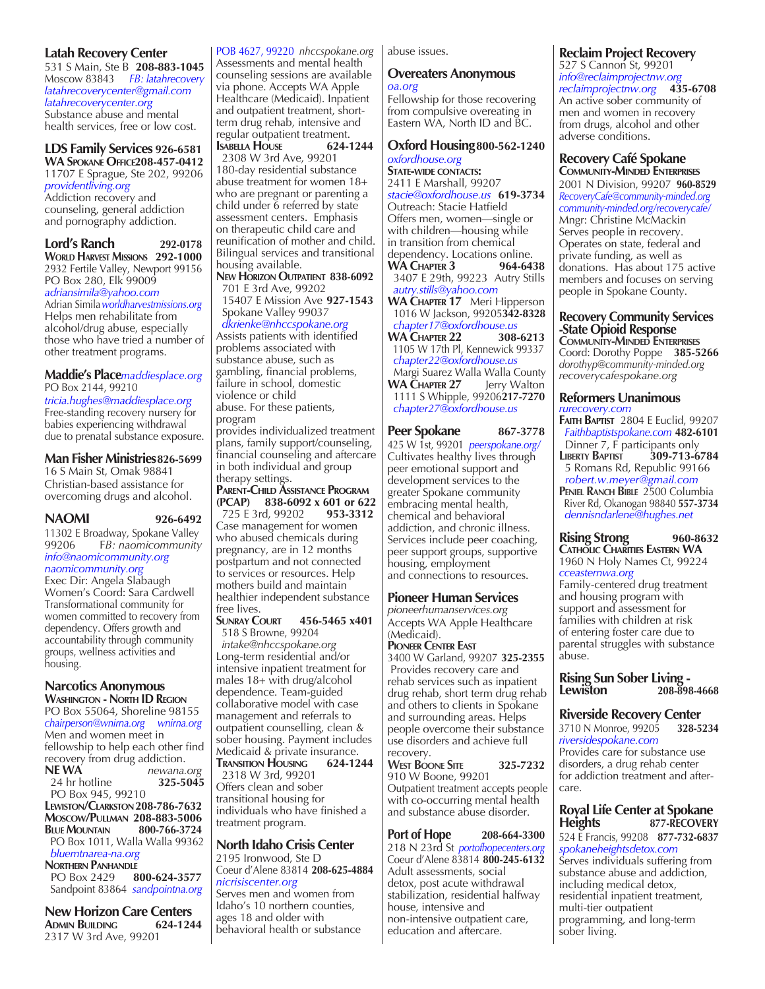### **Latah Recovery Center**

531 S Main, Ste B **208-883-1045** Moscow 83843 *FB: latahrecovery latahrecoverycenter@gmail.com latahrecoverycenter.org* Substance abuse and mental health services, free or low cost.

**LDS Family Services 926-6581 WA Spokane Office208-457-0412** 11707 E Sprague, Ste 202, 99206 *providentliving.org* Addiction recovery and counseling, general addiction and pornography addiction.

**Lord's Ranch 292-0178 World Harvest Missions 292-1000** 2932 Fertile Valley, Newport 99156 PO Box 280, Elk 99009

*adriansimila@yahoo.com* Adrian Simila*worldharvestmissions.org* Helps men rehabilitate from alcohol/drug abuse, especially those who have tried a number of other treatment programs.

## **Maddie's Place***maddiesplace.org* PO Box 2144, 99210

*tricia.hughes@maddiesplace.org* Free-standing recovery nursery for babies experiencing withdrawal due to prenatal substance exposure.

## **Man Fisher Ministries826-5699**

16 S Main St, Omak 98841 Christian-based assistance for overcoming drugs and alcohol.

**NAOMI 926-6492**

11302 E Broadway, Spokane Valley 99206 F*B: naomicommunity info@naomicommunity.org naomicommunity.org* 

Exec Dir: Angela Slabaugh Women's Coord: Sara Cardwell Transformational community for women committed to recovery from dependency. Offers growth and accountability through community groups, wellness activities and housing.

## **Narcotics Anonymous**

**Washington - North ID Region** PO Box 55064, Shoreline 98155 *chairperson@wnirna.org wnirna.org* Men and women meet in fellowship to help each other find recovery from drug addiction.<br>**NEWA** *newana.* **NE WA** *newana.org* 24 hr hotline

 PO Box 945, 99210 **Lewiston/Clarkston208-786-7632**

**Moscow/Pullman 208-883-5006 BLUE MOUNTAIN**  PO Box 1011, Walla Walla 99362  *bluemtnarea-na.org*

**NORTHERN PANHANDLE**<br>PO Box 2429 8 PO Box 2429 **800-624-3577** Sandpoint 83864*sandpointna.org*

**New Horizon Care Centers**<br>ADMIN BUILDING 624-1244 **ADMIN BUILDING** 2317 W 3rd Ave, 99201

POB 4627, 99220 *nhccspokane.org* Assessments and mental health counseling sessions are available via phone. Accepts WA Apple Healthcare (Medicaid). Inpatient and outpatient treatment, shortterm drug rehab, intensive and regular outpatient treatment.<br>**ISABELLA HOUSE** 624-1244

**ISABELLA HOUSE**  2308 W 3rd Ave, 99201 180-day residential substance abuse treatment for women 18+ who are pregnant or parenting a child under 6 referred by state assessment centers. Emphasis on therapeutic child care and reunification of mother and child. Bilingual services and transitional housing available.

#### **New Horizon Outpatient 838-6092** 701 E 3rd Ave, 99202

 15407 E Mission Ave **927-1543** Spokane Valley 99037  *dkrienke@nhccspokane.org* Assists patients with identified problems associated with substance abuse, such as gambling, financial problems, failure in school, domestic violence or child abuse. For these patients,

program provides individualized treatment plans, family support/counseling, financial counseling and aftercare in both individual and group therapy settings.

#### **Parent-Child Assistance Program (PCAP) 838-6092 x 601 or 622** 725 E 3rd, 99202

Case management for women who abused chemicals during pregnancy, are in 12 months postpartum and not connected to services or resources. Help mothers build and maintain healthier independent substance

#### free lives.<br>SUNRAY COURT **Sunray Court 456-5465 x401** 518 S Browne, 99204

 *intake@nhccspokane.org* Long-term residential and/or intensive inpatient treatment for males 18+ with drug/alcohol dependence. Team-guided collaborative model with case management and referrals to outpatient counselling, clean & sober housing. Payment includes Medicaid & private insurance.<br>TRANSITION HOUSING 624-1244 **Transition Housing 624-1244**

 2318 W 3rd, 99201 Offers clean and sober transitional housing for individuals who have finished a treatment program.

# **North Idaho Crisis Center**

2195 Ironwood, Ste D Coeur d'Alene 83814 **208-625-4884** *nicrisiscenter.org* Serves men and women from Idaho's 10 northern counties, ages 18 and older with behavioral health or substance

abuse issues.

#### **Overeaters Anonymous** *oa.org*

Fellowship for those recovering from compulsive overeating in Eastern WA, North ID and BC.

## **Oxford Housing800-562-1240** *oxfordhouse.org*

**State-wide contacts:** 2411 E Marshall, 99207 *stacie@oxfordhouse.us* **619-3734** Outreach: Stacie Hatfield Offers men, women—single or with children—housing while in transition from chemical dependency. Locations online.<br>WA CHAPTER 3 964-6438 **WA CHAPTER 3**  3407 E 29th, 99223 Autry Stills  *autry.stills@yahoo.com* **WA Chapter 17** Meri Hipperson 1016 W Jackson, 99205**342-8328**  *chapter17@oxfordhouse.us* **WA CHAPTER 22**  1105 W 17th Pl, Kennewick 99337  *chapter22@oxfordhouse.us* Margi Suarez Walla Walla County **WA Chapter 27** Jerry Walton 1111 S Whipple, 99206**217-7270**  *chapter27@oxfordhouse.us*

## **Peer Spokane 867-3778**

425 W 1st, 99201 *peerspokane.org/*  Cultivates healthy lives through peer emotional support and development services to the greater Spokane community embracing mental health, chemical and behavioral addiction, and chronic illness. Services include peer coaching, peer support groups, supportive housing, employment and connections to resources.

## **Pioneer Human Services**

*pioneerhumanservices.org*  Accepts WA Apple Healthcare (Medicaid).

#### **Pioneer Center East**

3400 W Garland, 99207 **325-2355** Provides recovery care and rehab services such as inpatient drug rehab, short term drug rehab and others to clients in Spokane and surrounding areas. Helps people overcome their substance use disorders and achieve full recovery. **West Boone Site 325-7232**

910 W Boone, 99201 Outpatient treatment accepts people with co-occurring mental health and substance abuse disorder.

# **Port of Hope 208-664-3300**

218 N 23rd St *portofhopecenters.org* Coeur d'Alene 83814 **800-245-6132** Adult assessments, social detox, post acute withdrawal stabilization, residential halfway house, intensive and non-intensive outpatient care, education and aftercare.

## **Reclaim Project Recovery**

527 S Cannon St, 99201 *info@reclaimprojectnw.org reclaimprojectnw.org* **435-6708** An active sober community of men and women in recovery from drugs, alcohol and other adverse conditions.

#### **Recovery Café Spokane Community-Minded Enterprises**

2001 N Division, 99207 **960-8529** *RecoveryCafe@community-minded.org community-minded.org/recoverycafe/* Mngr: Christine McMackin Serves people in recovery. Operates on state, federal and private funding, as well as donations. Has about 175 active members and focuses on serving people in Spokane County.

## **Recovery Community Services -State Opioid Response**

**Community-Minded Enterprises** Coord: Dorothy Poppe **385-5266** *dorothyp@community-minded.org recoverycafespokane.org* 

#### **Reformers Unanimous** *rurecovery.com*

**Faith Baptist** 2804 E Euclid, 99207 *Faithbaptistspokane.com* **482-6101**

Dinner 7, F participants only<br>**LIBERTY BAPTIST** 309-713-6 **Liberty Baptist 309-713-6784**  5 Romans Rd, Republic 99166 *robert.w.meyer@gmail.com*

**Peniel Ranch Bible** 2500 Columbia River Rd, Okanogan 98840 **557-3734**  *dennisndarlene@hughes.net*

#### **Rising Strong 960-8632 Catholic Charities Eastern WA** 1960 N Holy Names Ct, 99224

*cceasternwa.org* Family-centered drug treatment and housing program with support and assessment for families with children at risk of entering foster care due to parental struggles with substance abuse.

**Rising Sun Sober Living - Lewiston 208-898-4668** 

## **Riverside Recovery Center**

3710 N Monroe, 99205 **328-5234**  *riversidespokane.com* Provides care for substance use

disorders, a drug rehab center for addiction treatment and aftercare.

#### **Royal Life Center at Spokane Heights 877-RECOVERY** 524 E Francis, 99208 **877-732-6837**

*spokaneheightsdetox.com* Serves individuals suffering from substance abuse and addiction, including medical detox, residential inpatient treatment, multi-tier outpatient programming, and long-term sober living.